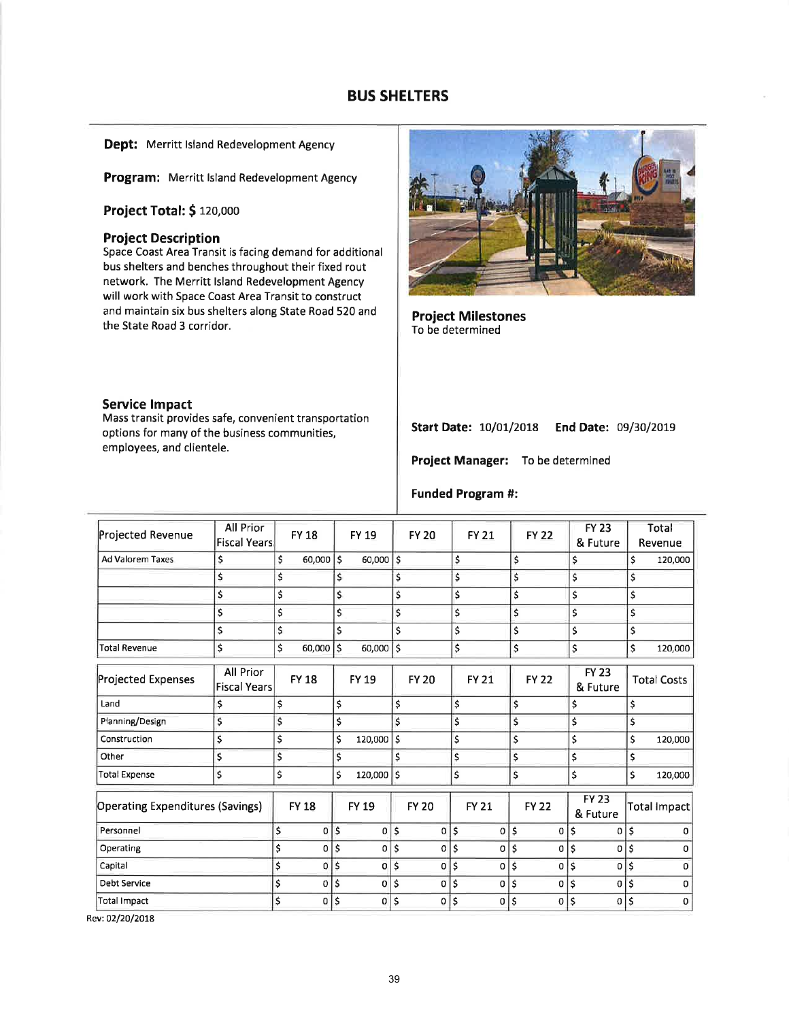# BUS SHELTERS

Dept: Merritt Island Redevelopment Agency

Program: Merritt Island Redevelopment Agency

Project Total: \$ 120,000

### Project Description

Space Coast Area Transit is facing demand for additional bus shelters and benches throughout their fixed rout network. The Merritt lsland Redevelopment Agency will work with Space Coast Area Transit to construct and maintain six bus shelters along State Road 520 and the State Road 3 corridor.

### Service lmpact

Mass transit provides safe, convenient transportation options for many of the business communities, employees, and clientele.



Project Milestones To be determined

### Start Date: 10/01/2018 End Date: 09/30/2019

Project Manager: To be determined

### Funded Program #:

| Projected Revenue                       | All Prior<br><b>Fiscal Years</b> | <b>FY 18</b>      |     | <b>FY 19</b> | <b>FY 20</b>      | <b>FY 21</b>       |                          | <b>FY 22</b> |    | <b>FY 23</b><br>& Future | Total<br>Revenue   |
|-----------------------------------------|----------------------------------|-------------------|-----|--------------|-------------------|--------------------|--------------------------|--------------|----|--------------------------|--------------------|
| Ad Valorem Taxes                        | \$                               | \$<br>$60,000$ \$ |     | $60,000$ \$  |                   | \$                 | \$                       |              | \$ |                          | \$<br>120,000      |
|                                         | \$                               | \$                | \$  |              | \$                | \$                 | \$                       |              | \$ |                          | \$                 |
|                                         | \$                               | \$                | \$  |              | \$                | \$                 | \$                       |              | \$ |                          | \$                 |
|                                         | \$                               | \$                | \$  |              | \$                | \$                 | \$                       |              | \$ |                          | \$                 |
|                                         | \$                               | \$                | \$  |              | \$                | \$                 | \$                       |              | \$ |                          | \$                 |
| <b>Total Revenue</b>                    | \$                               | \$<br>60,000      | Ś   | $60,000$ \$  |                   | \$                 | \$                       |              | \$ |                          | \$<br>120,000      |
| Projected Expenses                      | All Prior<br><b>Fiscal Years</b> | <b>FY 18</b>      |     | FY 19        | <b>FY 20</b>      | <b>FY 21</b>       |                          | <b>FY 22</b> |    | <b>FY 23</b><br>& Future | <b>Total Costs</b> |
| Land                                    | \$                               | \$                | \$  |              | \$                | \$                 | \$                       |              | \$ |                          | \$                 |
| Planning/Design                         | \$                               | \$                | \$  |              | \$                | \$                 | \$                       |              | \$ |                          | \$                 |
| Construction                            | \$                               | \$                | \$  | 120,000      | \$                | \$                 | \$                       |              | \$ |                          | \$<br>120,000      |
| Other                                   | \$                               | \$                | \$  |              | \$                | \$                 | \$                       |              | \$ |                          | \$                 |
| <b>Total Expense</b>                    | \$                               | \$                | \$  | $120,000$ \$ |                   | \$                 | \$                       |              | \$ |                          | \$<br>120,000      |
| <b>Operating Expenditures (Savings)</b> |                                  | <b>FY 18</b>      |     | <b>FY 19</b> | <b>FY 20</b>      | <b>FY 21</b>       |                          | <b>FY 22</b> |    | <b>FY 23</b><br>& Future | Total impact       |
| Personnel                               |                                  | \$<br>0           | \$  | $\Omega$     | \$<br>0           | \$<br>$\mathbf{o}$ | $\overline{\phantom{a}}$ | 0            | \$ | $\Omega$                 | \$<br>0            |
| Operating                               |                                  | \$<br>0           | ١\$ | $\Omega$     | \$<br>0           | \$<br> 0           | \$                       | 0            | \$ | $\Omega$                 | \$<br>$\Omega$     |
| Capital                                 |                                  | \$<br>$\Omega$    | \$. | 0            | \$<br>$\mathbf 0$ | \$<br>$\Omega$     | \$                       | 0            | \$ | $\Omega$                 | \$<br>$\Omega$     |
| <b>Debt Service</b>                     |                                  | \$<br>0           | \$  | 0            | \$<br>0           | \$<br>0            | \$                       | 0            | Ś  | $\bf{0}$                 | \$<br>$\Omega$     |
| <b>Total Impact</b>                     |                                  | \$<br>0           | \$  | 0            | \$<br>0           | \$<br>0            | \$                       | 0            | \$ | 0                        | \$<br>$\mathbf 0$  |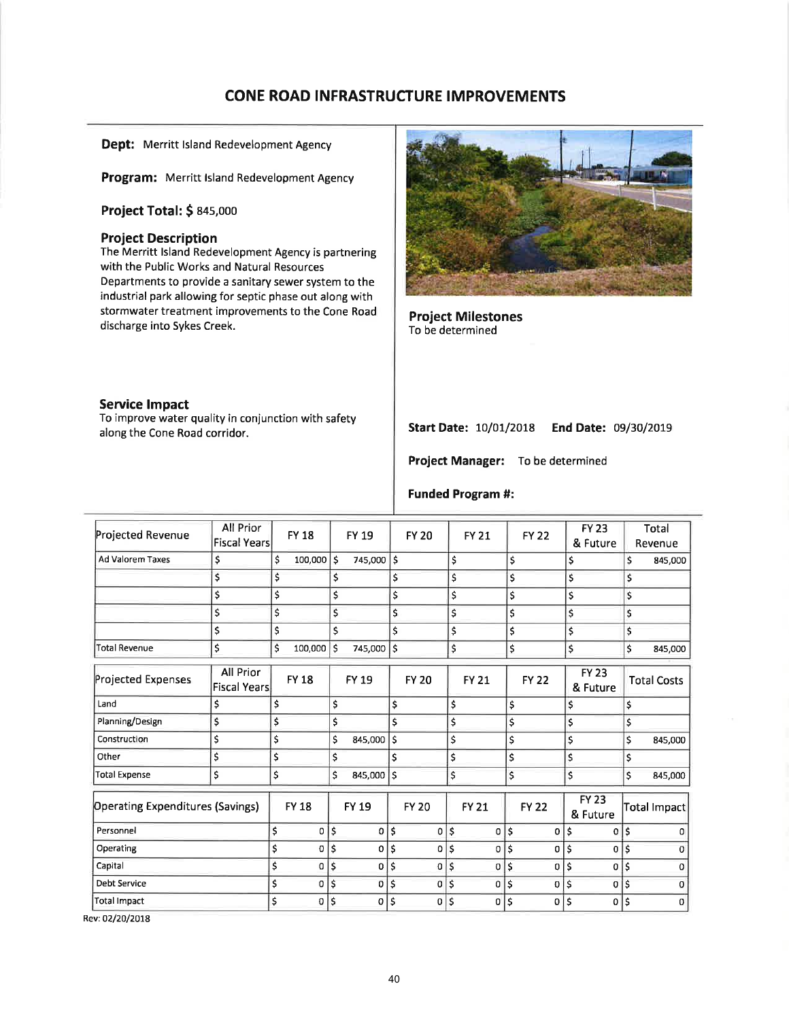# CONE ROAD INFRASTRUCTURE IMPROVEMENTS

Dept: Merritt Island Redevelopment Agency

Program: Merritt Island Redevelopment Agency

Project Total: \$ 845,000

## Project Description

The Merritt lsland Redevelopment Agency is partnering with the Public Works and Natural Resources Departments to provide a sanitary sewer system to the industrial park allowing for septic phase out along with stormwater treatment improvements to the Cone Road discharge into Sykes Creek.



To improve water quality in conjunction with safety along the Cone Road corridor.



Project Milestones To be determined

## Start Date: 10/01/2018 End Date: 09/30/2019

Project Manager: To be determined

| Projected Revenue                       | All Prior<br><b>Fiscal Years</b> | <b>FY 18</b>         | <b>FY 19</b>         |                    | <b>FY 20</b> | <b>FY 21</b> |          | <b>FY 22</b>   |                    | <b>FY 23</b><br>& Future | Total<br>Revenue    |
|-----------------------------------------|----------------------------------|----------------------|----------------------|--------------------|--------------|--------------|----------|----------------|--------------------|--------------------------|---------------------|
| <b>Ad Valorem Taxes</b>                 | \$                               | \$<br>100,000 \$     | 745,000              | ١s                 |              | \$           | \$       |                |                    | \$                       | \$<br>845,000       |
|                                         | \$                               | \$                   | \$                   | \$                 |              | \$           | \$       |                |                    | \$                       | \$                  |
|                                         | \$                               | \$                   | \$                   | \$                 |              | \$           | \$       |                |                    | \$                       | \$                  |
|                                         | \$                               | \$                   | \$                   | \$                 |              | \$           | \$       |                | $\mathsf{\hat{S}}$ |                          | \$                  |
|                                         | \$                               | \$                   | \$                   | \$                 |              | \$           | \$       |                |                    | \$                       | \$                  |
| Total Revenue                           | \$                               | \$<br>$100,000$ \$   | 745,000              | ١\$                |              | \$           | \$       |                |                    | \$                       | \$<br>845,000       |
| <b>Projected Expenses</b>               | All Prior<br><b>Fiscal Years</b> | <b>FY 18</b>         | <b>FY 19</b>         |                    | <b>FY 20</b> | <b>FY 21</b> |          | <b>FY 22</b>   |                    | <b>FY 23</b><br>& Future | <b>Total Costs</b>  |
| Land                                    | \$                               | \$                   | \$                   | \$                 |              | \$           | \$       |                | \$                 |                          | \$                  |
| Planning/Design                         | \$                               | \$                   | \$                   | \$                 |              | \$           | \$       |                | \$                 |                          | \$                  |
| Construction                            | \$                               | \$                   | \$<br>845,000        | \$                 |              | \$           | \$       |                | \$                 |                          | \$<br>845,000       |
| Other                                   | \$                               | \$                   | \$                   | \$                 |              | \$           | \$       |                | \$                 |                          | \$                  |
| Total Expense                           | \$                               | \$                   | \$<br>845,000        | $\mathsf{\hat{S}}$ |              | \$           | \$       |                | \$                 |                          | \$<br>845,000       |
| <b>Operating Expenditures (Savings)</b> |                                  | <b>FY 18</b>         | <b>FY 19</b>         |                    | <b>FY 20</b> | <b>FY 21</b> |          | <b>FY 22</b>   |                    | <b>FY 23</b><br>& Future | <b>Total Impact</b> |
| Personnel                               |                                  | \$<br>$\mathbf{0}$   | \$<br>0              | \$                 | 0            | \$<br>0      | \$       | 0              | \$                 | 0                        | \$<br>Ω             |
| Operating                               |                                  | \$<br>0              | \$<br>0              | \$                 | 0            | \$<br>0      | \$       | 0              | \$                 | 0                        | \$<br>$\Omega$      |
| Capital                                 |                                  | \$<br>0              | \$<br>0              | \$                 | 0            | \$<br>0      | \$       | $\mathbf{0}$   | \$                 | 0                        | \$<br>$\Omega$      |
| <b>Debt Service</b>                     |                                  | \$<br>$\overline{0}$ | \$<br>$\overline{0}$ | ۱\$                | 0            | \$           | $0$   \$ | $\overline{0}$ | \$.                | $\overline{0}$           | \$<br>$\Omega$      |
| <b>Total Impact</b>                     |                                  | \$<br>0              | \$<br>0              | \$                 | 0            | \$<br>0      | \$       | 0              | \$                 | 0                        | \$<br>$\mathbf 0$   |

# Funded Program #: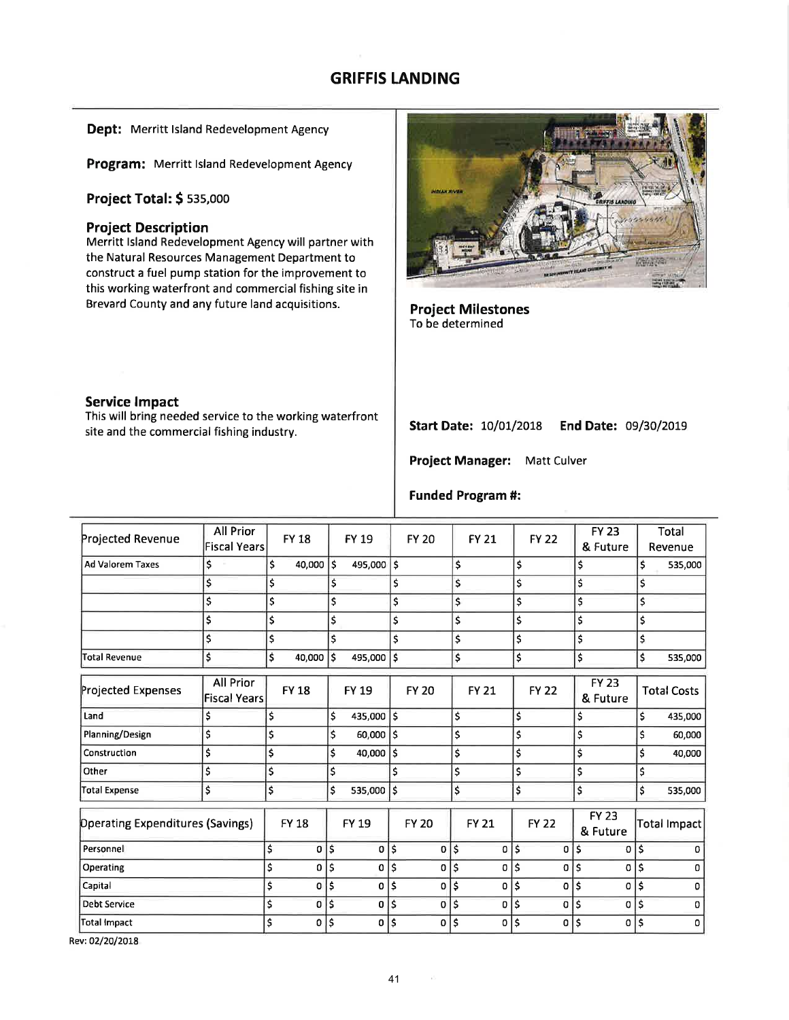# GRIFFIS LANDING

### Dept: Merritt Island Redevelopment Agency

Program: Merritt Island Redevelopment Agency

## **Project Total: \$ 535,000**

## Project Description

Merritt lsland Redevelopment Agency will partner with the Natural Resources Management Department to construct a fuel pump station for the improvement to this working waterfront and commercial fishing site in Brevard County and any future land acquisitions.



Project Milestones To be determined

## Service lmpact

This will bring needed service to the working waterfront site and the commercial fishing industry.

Start Date: 10/01/2018 End Date: 09/30/2019

Project Manager: Matt Culver

## Funded Program #:

|                                         | <b>All Prior</b>                        |                    |              |                |     |              |                    |              |    |                          |    |                    |
|-----------------------------------------|-----------------------------------------|--------------------|--------------|----------------|-----|--------------|--------------------|--------------|----|--------------------------|----|--------------------|
| Projected Revenue                       | <b>Fiscal Years</b>                     | <b>FY 18</b>       |              | FY 19          |     | <b>FY 20</b> | <b>FY 21</b>       | <b>FY 22</b> |    | <b>FY 23</b><br>& Future |    | Total<br>Revenue   |
| <b>Ad Valorem Taxes</b>                 | \$                                      | \$<br>$40,000$ \$  |              | 495,000 \$     |     |              | \$                 | \$           |    | \$                       | \$ | 535,000            |
|                                         | \$                                      | \$                 | \$           |                | \$  |              | \$                 | \$           |    | \$.                      | \$ |                    |
|                                         | \$                                      | \$                 | \$           |                | \$  |              | \$                 | \$           |    | \$                       | \$ |                    |
|                                         | \$                                      | \$                 | \$           |                | \$  |              | \$                 | \$           |    | \$                       | \$ |                    |
|                                         | \$                                      | \$                 | \$           |                | \$  |              | \$                 | \$           |    | \$                       | \$ |                    |
| <b>Total Revenue</b>                    | \$                                      | \$<br>40,000       | $\mathsf{s}$ | 495,000        | Ś   |              | \$                 | \$           |    | Ś                        | Ś  | 535,000            |
| <b>Projected Expenses</b>               | <b>All Prior</b><br><b>Fiscal Years</b> | <b>FY 18</b>       |              | <b>FY 19</b>   |     | <b>FY 20</b> | <b>FY 21</b>       | <b>FY 22</b> |    | <b>FY 23</b><br>& Future |    | <b>Total Costs</b> |
| Land                                    | \$                                      | \$                 | \$           | 435,000        | \$  |              | \$                 | \$           | \$ |                          | \$ | 435,000            |
| Planning/Design                         | \$                                      | \$                 | \$           | 60,000         | '\$ |              | \$                 | \$           | \$ |                          | \$ | 60,000             |
| Construction                            | \$                                      | \$                 | \$           | 40,000         | \$  |              | \$                 | \$           | \$ |                          | \$ | 40,000             |
| Other                                   | \$                                      | \$                 | \$           |                | Ś   |              | \$                 | \$           | \$ |                          | \$ |                    |
| <b>Total Expense</b>                    | \$                                      | \$                 | \$           | 535,000 \$     |     |              | \$                 | \$           | \$ |                          | \$ | 535,000            |
| <b>Operating Expenditures (Savings)</b> |                                         | <b>FY 18</b>       |              | <b>FY 19</b>   |     | <b>FY 20</b> | <b>FY 21</b>       | <b>FY 22</b> |    | <b>FY 23</b><br>& Future |    | Total Impact       |
| Personnel                               |                                         | \$<br>0            | \$           | 0              | Ś   | 0            | \$<br>0            | \$<br>0      | \$ | 0                        | Ś  |                    |
| Operating                               |                                         | \$<br>0            | \$           | 0              | \$  | 0            | \$<br>0            | \$<br>0      | Ś  | 0                        | \$ | n                  |
| Capital                                 |                                         | \$<br>$\mathbf 0$  | \$           | 0              | ۱s  | 0            | \$<br>O            | \$<br>0      | \$ | 0                        | \$ | 0                  |
| <b>Debt Service</b>                     |                                         | \$<br>$\mathbf{0}$ | \$           | 0 <sub>5</sub> |     | 0            | \$<br>$\mathbf{0}$ | \$<br>0      | \$ | 0                        | Ś  | o                  |
| <b>Total Impact</b>                     |                                         | \$<br>$\mathbf{0}$ | \$           | 0              | \$  | 0            | \$<br>$\mathbf{0}$ | \$<br>0      | Ś  | 0                        | \$ | 0                  |

Rev:O2/2012OI8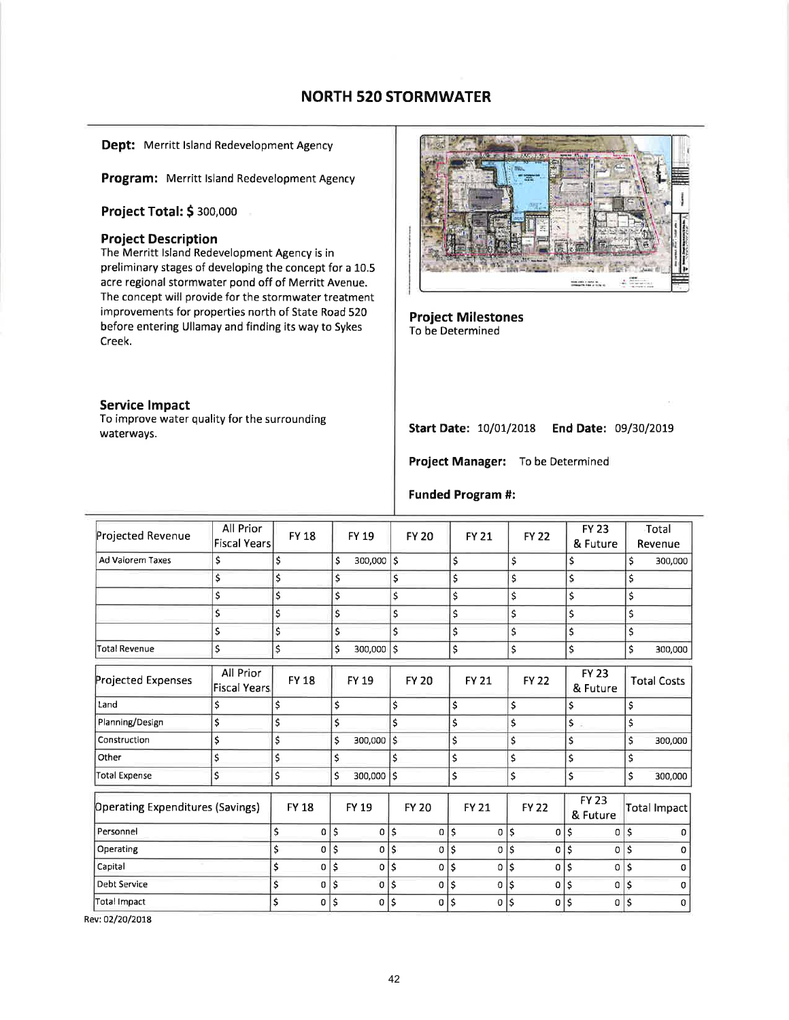# NORTH 520 STORMWATER

Dept: Merritt Island Redevelopment Agency

Program: Merritt Island Redevelopment Agency

Project Total: \$ 300,000

### Project Description

The Merritt lsland Redevelopment Agency is in preliminary stages of developing the concept for a 10.5 acre regional stormwater pond off of Merritt Avenue. The concept will provide for the stormwater treatment improvements for properties north of State Road 520 before entering Ullamay and finding its way to Sykes Creek.

#### Service lmpact

To improve water quality for the surrounding waterways.



Project Milestones To be Determined

## start Date: 10/07/2018 End Date: 09/30/2079

Project Manager: To be Determined

### Funded Program #:

| Projected Revenue                | All Prior<br><b>Fiscal Years</b> | <b>FY 18</b>   |               | <b>FY 19</b>   |                           | <b>FY 20</b> | <b>FY 21</b>         |            | <b>FY 22</b> |    | <b>FY 23</b><br>& Future |                    | Total<br>Revenue   |
|----------------------------------|----------------------------------|----------------|---------------|----------------|---------------------------|--------------|----------------------|------------|--------------|----|--------------------------|--------------------|--------------------|
| Ad Valorem Taxes                 | \$                               | \$             | \$            | $300,000$ \$   |                           |              | \$                   | \$         |              |    | \$                       | \$                 | 300,000            |
|                                  | \$                               | \$             | \$            |                | \$                        |              | \$                   | \$         |              |    | \$                       | \$                 |                    |
|                                  | \$                               | \$             | \$            |                | $\boldsymbol{\mathsf{S}}$ |              | \$                   | \$         |              |    | \$                       | \$                 |                    |
|                                  | \$                               | \$             | \$            |                | \$                        |              | \$                   | \$         |              |    | \$                       | \$                 |                    |
|                                  | \$                               | \$             | \$            |                | \$                        |              | \$                   | \$         |              |    | \$                       | \$                 |                    |
| <b>Total Revenue</b>             | \$                               | \$             | Ś             | 300,000        | ۱\$                       |              | \$                   | \$         |              |    | \$                       | \$                 | 300,000            |
| Projected Expenses               | All Prior<br><b>Fiscal Years</b> | <b>FY 18</b>   |               | FY 19          |                           | <b>FY 20</b> | <b>FY 21</b>         |            | <b>FY 22</b> |    | <b>FY 23</b><br>& Future |                    | <b>Total Costs</b> |
| Land                             | \$                               | \$             | \$            |                | \$                        |              | \$                   | \$         |              |    | \$                       | \$                 |                    |
| Planning/Design                  | \$                               | \$             | \$            |                | \$                        |              | \$                   | \$         |              |    | \$                       | \$                 |                    |
| Construction                     | \$                               | \$             | $\mathsf{\$}$ | 300,000        | \$                        |              | \$                   | \$         |              |    | Ś                        | Ś                  | 300,000            |
| Other                            | \$                               | \$             | \$            |                | \$                        |              | \$                   | \$         |              |    | \$                       | \$                 |                    |
| <b>Total Expense</b>             | \$                               | \$             | Ś             | 300,000        | Ś                         |              | \$                   | \$         |              |    | \$                       | \$                 | 300,000            |
| Operating Expenditures (Savings) |                                  | <b>FY 18</b>   |               | <b>FY 19</b>   |                           | <b>FY 20</b> | <b>FY 21</b>         |            | <b>FY 22</b> |    | <b>FY 23</b><br>& Future |                    | Total Impact       |
| Personnel                        |                                  | \$<br>0        | \$            | 0              | \$                        | 0            | \$<br>$\mathbf 0$    | \$         | 0            | \$ | 0                        | \$                 | 0                  |
| Operating                        |                                  | \$<br>$\Omega$ | l s           | $\overline{0}$ | \$                        | 0            | \$<br>$\overline{0}$ | \$         | 0            | Ś  | 0                        | $\mathsf{\hat{S}}$ |                    |
| Capital                          |                                  | \$<br>0        | \$            | 0              | \$                        | 0            | \$<br>0              | \$         | 0            | \$ | 0                        | \$                 | n                  |
| Debt Service                     |                                  | \$<br>0        | \$            | 0              | \$                        | 0            | \$<br>0              | $\ddot{s}$ | 0            | \$ | 0                        | \$                 | $\Omega$           |
| <b>Total Impact</b>              |                                  | \$<br>0        | \$ ا          | 0 5            |                           | 0            | \$<br> 0             | \$         | 0            | \$ | 0                        | $\mathsf{\$}$      | 0                  |
|                                  |                                  |                |               |                |                           |              |                      |            |              |    |                          |                    |                    |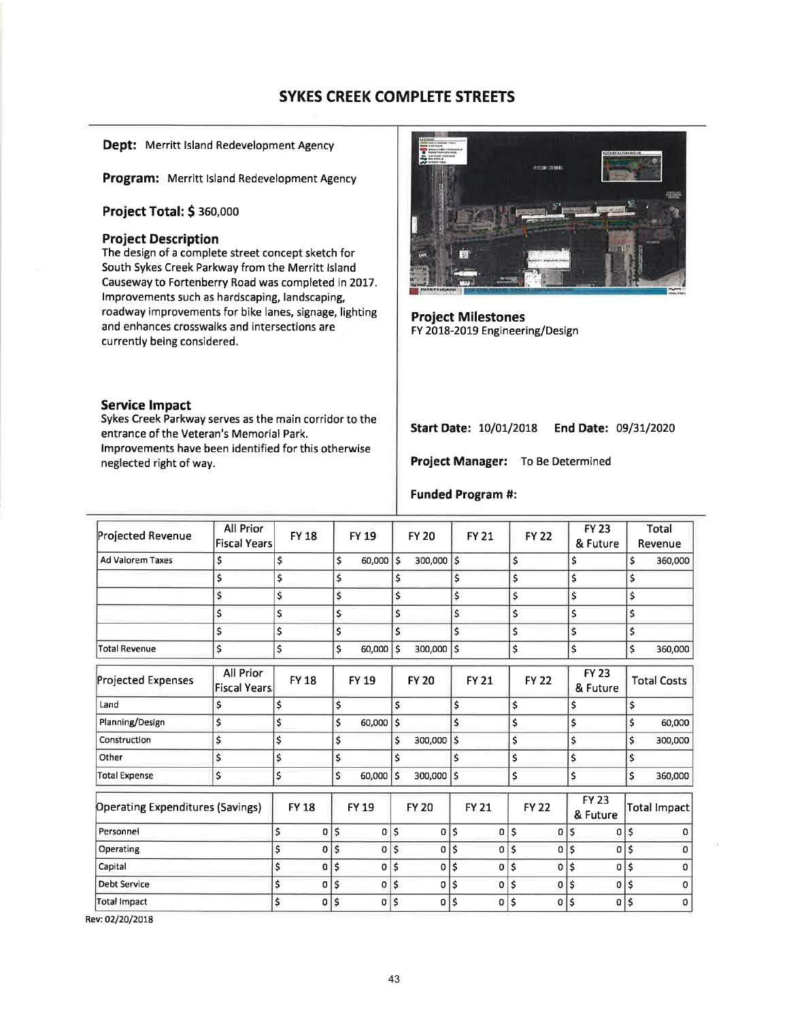Dept: Merritt Island Redevelopment Agency

Program: Merritt Island Redevelopment Agency

Project Total: \$ 360,000

### **Project Description**

The design of a complete street concept sketch for South Sykes Creek Parkway from the Merritt Island Causeway to Fortenberry Road was completed in 2017. Improvements such as hardscaping, landscaping, roadway improvements for bike lanes, signage, lighting and enhances crosswalks and intersections are currently being considered.

#### **Service Impact**

Sykes Creek Parkway serves as the main corridor to the entrance of the Veteran's Memorial Park. Improvements have been identified for this otherwise neglected right of way.



**Project Milestones** FY 2018-2019 Engineering/Design

Start Date: 10/01/2018 End Date: 09/31/2020

Project Manager: To Be Determined

#### **Funded Program #:**

| Projected Revenue                | All Prior                        | <b>FY 18</b> |                   | <b>FY 19</b>                    |     | <b>FY 20</b> |    | <b>FY 21</b> | <b>FY 22</b> | <b>FY 23</b>             |    | Total              |
|----------------------------------|----------------------------------|--------------|-------------------|---------------------------------|-----|--------------|----|--------------|--------------|--------------------------|----|--------------------|
|                                  | <b>Fiscal Years</b>              |              |                   |                                 |     |              |    |              |              | & Future                 |    | Revenue            |
| <b>Ad Valorem Taxes</b>          | \$                               | \$           |                   | \$<br>60,000                    | l\$ | 300,000      | \$ |              | \$           | \$                       | \$ | 360,000            |
|                                  | \$                               | \$           |                   | \$                              | \$  |              | \$ |              | \$           | \$                       | \$ |                    |
|                                  | \$                               | \$           |                   | \$                              | \$  |              | \$ |              | \$           | \$                       | \$ |                    |
|                                  | \$                               | \$           |                   | \$                              | \$  |              | \$ |              | \$           | \$                       | \$ |                    |
|                                  | \$                               | \$           |                   | \$                              | \$  |              | \$ |              | \$           | \$                       | \$ |                    |
| <b>Total Revenue</b>             | \$                               | \$           |                   | \$<br>60,000                    | \$  | 300,000      | \$ |              | \$           | \$                       | \$ | 360,000            |
| Projected Expenses               | All Prior<br><b>Fiscal Years</b> | <b>FY18</b>  |                   | <b>FY 19</b>                    |     | <b>FY 20</b> |    | <b>FY 21</b> | <b>FY 22</b> | <b>FY 23</b><br>& Future |    | <b>Total Costs</b> |
| Land                             | \$                               | \$           |                   | \$                              | \$  |              | \$ |              | \$           | \$                       | \$ |                    |
| Planning/Design                  | \$                               | \$           |                   | \$<br>60,000                    | Ś   |              | Ś  |              | \$           | \$                       | \$ | 60,000             |
| Construction                     | \$                               | \$           |                   | \$                              | \$  | 300,000      | \$ |              | \$           | \$                       | \$ | 300,000            |
| Other                            | \$                               | \$           |                   | \$                              | \$  |              | \$ |              | \$           | \$                       | \$ |                    |
| <b>Total Expense</b>             | \$                               | \$           |                   | \$<br>60,000                    | Ś   | 300,000 \$   |    |              | \$           | Ś                        | \$ | 360,000            |
| Operating Expenditures (Savings) |                                  | <b>FY 18</b> |                   | <b>FY 19</b>                    |     | <b>FY 20</b> |    | <b>FY 21</b> | <b>FY 22</b> | <b>FY 23</b><br>& Future |    | Total Impact       |
| Personnel                        |                                  | \$           | 0                 | $\boldsymbol{\mathsf{S}}$<br>οI | \$  | 0            | \$ | 0            | \$<br>0      | \$<br>0                  | \$ | 0                  |
| Operating                        |                                  | \$           | \$<br>0           | $\overline{0}$                  | Ś   | $\Omega$     | \$ | $\Omega$     | \$<br>0      | \$<br>0                  | Ś  | n                  |
| Capital                          |                                  | \$           | \$<br>0           | 0                               | \$  | 0            | \$ | 0            | \$<br>0      | \$<br>0                  | \$ | 0                  |
| <b>Debt Service</b>              |                                  | \$           | \$<br>0           | 0                               | \$  | 0            | \$ | 0            | \$<br>0      | \$<br>0                  | \$ | 0                  |
| <b>Total Impact</b>              |                                  | \$           | \$<br>$\mathbf 0$ | $\sigma$                        | \$  | 0            | \$ | 0            | \$<br>0      | \$<br>$\Omega$           | \$ | 0                  |